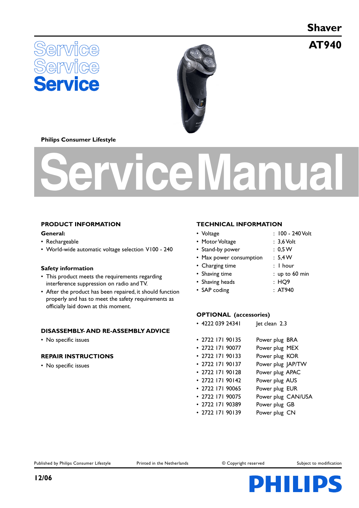**Shaver**

**AT940**





#### **Philips Consumer Lifestyle**

# **Service Manual**

# **PRODUCT INFORMATION General:**

- Rechargeable
- World-wide automatic voltage selection V100 240

#### **Safety information**

- This product meets the requirements regarding interference suppression on radio and TV.
- After the product has been repaired, it should function properly and has to meet the safety requirements as officially laid down at this moment.

# **DISASSEMBLY- AND RE-ASSEMBLY ADVICE**

• No specific issues

# **REPAIR INSTRUCTIONS**

• No specific issues

#### **TECHNICAL INFORMATION**

- Voltage : 100 240 Volt
- Motor Voltage : 3,6 Volt
- Stand-by power : 0,5 W
- Max power consumption : 5,4 W
- Charging time : 1 hour
- Shaving time : up to 60 min
- Shaving heads : HQ9
- SAP coding : AT940

# **OPTIONAL (accessories)**

- 4222 039 24341 Jet clean 2.3
- 2722 171 90135 Power plug BRA • 2722 171 90077 Power plug MEX • 2722 171 90133 Power plug KOR • 2722 171 90137 Power plug JAP/TW
- 2722 171 90128 Power plug APAC
- 2722 171 90142 Power plug AUS
- 2722 171 90065 Power plug EUR
- 2722 171 90075 Power plug CAN/USA
- 2722 171 90389 Power plug GB
- 2722 171 90139 Power plug CN